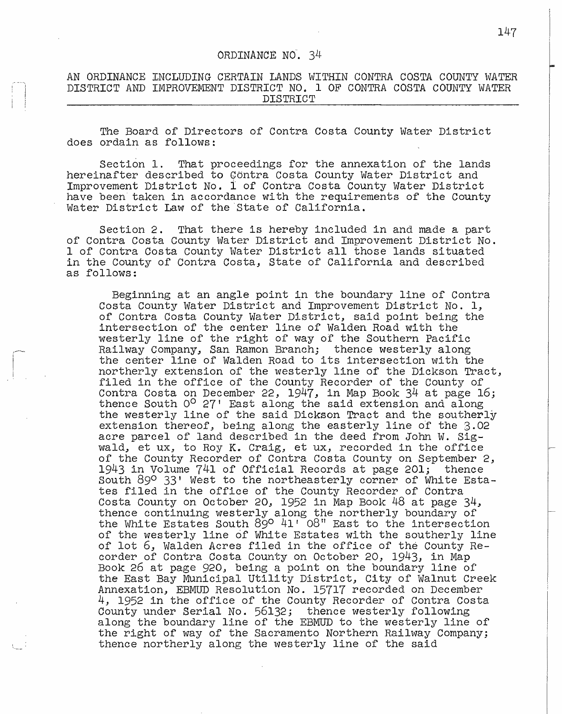## ORDINANCE NO. 34

## AN ORDINANCE INCLUDING CERTAIN LANDS WITHIN CONTRA COSTA COUNTY WATER DISTRICT AND IMPROVEMENT DISTRICT NO. 1 OF CONTRA COSTA COUNTY WATER DISTRICT

The Board of Directors of Contra Costa County Water District does ordain as follows:

Section 1. That proceedings for the annexation of the lands hereinafter described to Gontra Costa County Water District and Improvement District No. i of Contra Costa County Water District have been taken in accordance with the requirements of the County Water District Law of the'State of California.

Section 2. That there is hereby included in and made a part of Contra Costa County Water District and Improvement District No. 1 of Contra Costa County Water District all those lands situated in the County of Contra Costa, State of California and described as follows:

Beginning at an angle point in the boundary line of Contra Costa County Water District and Improvement District No. 1, of Contra Costa County Water District, said point being the intersection of the center line of Walden Road with the westerly line of the right of way of the Southern Pacific Railway Company, San Ramon Branch; thence westerly along the center line of Walden Road to its intersection with the northerly extension of the westerly line of the Dickson Tract, filed in the office of the County Recorder of the County of Contra Costa on December 22, 1947, in Map Book  $34$  at page 16; thence South O<sup>O</sup> 27' East along the said extension and along the westerly line of the said Dickson Tract and the southerly extension thereof, being along the easterly line of the 3.02 acre parcel of land described in the deed from John w. Sigwald, et ux, to Roy K. Craig, et ux, recorded in the office of the County Recorder of Contra Costa County on September 2, 1943 in Volume 741 of Official Records at page 201; thence South 89° 33' West to the northeasterly corner of White Estafiled in the office of the County Recorder of Contra Costa County on October 20, 1952 in Map Book 48 at page 34, thence continuing westerly along the northerly boundary of the White Estates South  $89^\circ$   $41'$   $08''$  East to the intersection of the westerly line of White Estates with the southerly line of the westerly line of white is acces with the Southerly<br>of lot 6, Walden Acres filed in the office of the County corder of Contra Costa County on October 20, 1943, in Map Book 26 at page 920, being a point on the boundary line of the East Bay Municipal Utility District., City of Walnut Creek Annexation., EBMUD Resolution No. 15717 recorded on December 4, 1952 in the office of the County Recorder of Contra Costa<br>County under Serial No. 56132; thence westerly following County under Serial No. 56132; thence westerly following along the boundary line of the EBMUD to the westerly line of the right of way of the Sacramento Northern Railway Company;<br>the right of way of the Sacramento Northern Railway Company;